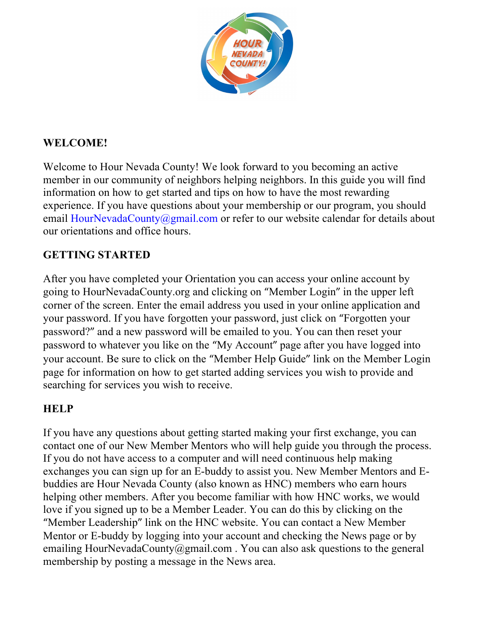

# **WELCOME!**

Welcome to Hour Nevada County! We look forward to you becoming an active member in our community of neighbors helping neighbors. In this guide you will find information on how to get started and tips on how to have the most rewarding experience. If you have questions about your membership or our program, you should email HourNevadaCounty@gmail.com or refer to our website calendar for details about our orientations and office hours.

# **GETTING STARTED**

After you have completed your Orientation you can access your online account by going to HourNevadaCounty.org and clicking on "Member Login" in the upper left corner of the screen. Enter the email address you used in your online application and your password. If you have forgotten your password, just click on "Forgotten your password?" and a new password will be emailed to you. You can then reset your password to whatever you like on the "My Account" page after you have logged into your account. Be sure to click on the "Member Help Guide" link on the Member Login page for information on how to get started adding services you wish to provide and searching for services you wish to receive.

# **HELP**

If you have any questions about getting started making your first exchange, you can contact one of our New Member Mentors who will help guide you through the process. If you do not have access to a computer and will need continuous help making exchanges you can sign up for an E-buddy to assist you. New Member Mentors and Ebuddies are Hour Nevada County (also known as HNC) members who earn hours helping other members. After you become familiar with how HNC works, we would love if you signed up to be a Member Leader. You can do this by clicking on the "Member Leadership" link on the HNC website. You can contact a New Member Mentor or E-buddy by logging into your account and checking the News page or by emailing HourNevadaCounty@gmail.com. You can also ask questions to the general membership by posting a message in the News area.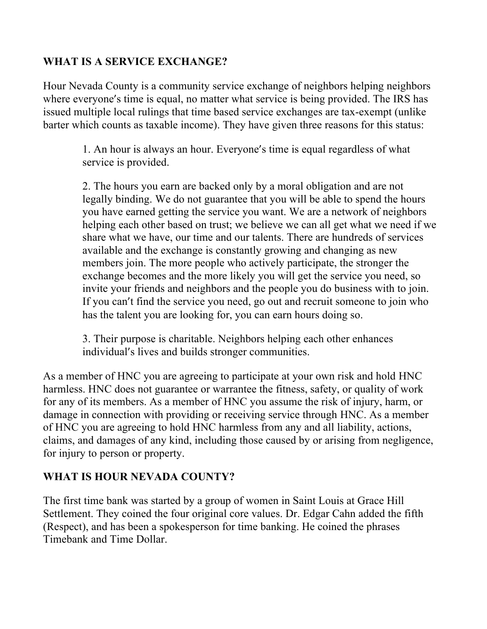# **WHAT IS A SERVICE EXCHANGE?**

Hour Nevada County is a community service exchange of neighbors helping neighbors where everyone's time is equal, no matter what service is being provided. The IRS has issued multiple local rulings that time based service exchanges are tax-exempt (unlike barter which counts as taxable income). They have given three reasons for this status:

> 1. An hour is always an hour. Everyone's time is equal regardless of what service is provided.

2. The hours you earn are backed only by a moral obligation and are not legally binding. We do not guarantee that you will be able to spend the hours you have earned getting the service you want. We are a network of neighbors helping each other based on trust; we believe we can all get what we need if we share what we have, our time and our talents. There are hundreds of services available and the exchange is constantly growing and changing as new members join. The more people who actively participate, the stronger the exchange becomes and the more likely you will get the service you need, so invite your friends and neighbors and the people you do business with to join. If you can't find the service you need, go out and recruit someone to join who has the talent you are looking for, you can earn hours doing so.

3. Their purpose is charitable. Neighbors helping each other enhances individual's lives and builds stronger communities.

As a member of HNC you are agreeing to participate at your own risk and hold HNC harmless. HNC does not guarantee or warrantee the fitness, safety, or quality of work for any of its members. As a member of HNC you assume the risk of injury, harm, or damage in connection with providing or receiving service through HNC. As a member of HNC you are agreeing to hold HNC harmless from any and all liability, actions, claims, and damages of any kind, including those caused by or arising from negligence, for injury to person or property.

#### **WHAT IS HOUR NEVADA COUNTY?**

The first time bank was started by a group of women in Saint Louis at Grace Hill Settlement. They coined the four original core values. Dr. Edgar Cahn added the fifth (Respect), and has been a spokesperson for time banking. He coined the phrases Timebank and Time Dollar.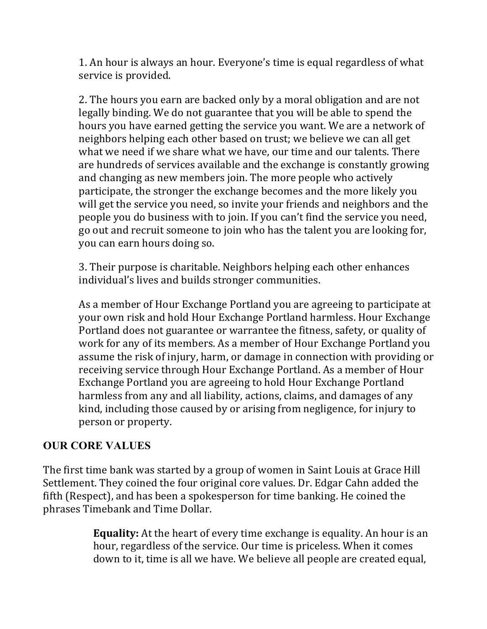1. An hour is always an hour. Everyone's time is equal regardless of what service is provided.

2. The hours you earn are backed only by a moral obligation and are not legally binding. We do not guarantee that you will be able to spend the hours you have earned getting the service you want. We are a network of neighbors helping each other based on trust; we believe we can all get what we need if we share what we have, our time and our talents. There are hundreds of services available and the exchange is constantly growing and changing as new members join. The more people who actively participate, the stronger the exchange becomes and the more likely you will get the service you need, so invite your friends and neighbors and the people you do business with to join. If you can't find the service you need, go out and recruit someone to join who has the talent you are looking for, you can earn hours doing so.

3. Their purpose is charitable. Neighbors helping each other enhances individual's lives and builds stronger communities.

As a member of Hour Exchange Portland you are agreeing to participate at your own risk and hold Hour Exchange Portland harmless. Hour Exchange Portland does not guarantee or warrantee the fitness, safety, or quality of work for any of its members. As a member of Hour Exchange Portland you assume the risk of injury, harm, or damage in connection with providing or receiving service through Hour Exchange Portland. As a member of Hour Exchange Portland you are agreeing to hold Hour Exchange Portland harmless from any and all liability, actions, claims, and damages of any kind, including those caused by or arising from negligence, for injury to person or property.

#### **OUR CORE VALUES**

The first time bank was started by a group of women in Saint Louis at Grace Hill Settlement. They coined the four original core values. Dr. Edgar Cahn added the fifth (Respect), and has been a spokesperson for time banking. He coined the phrases Timebank and Time Dollar.

> **Equality:** At the heart of every time exchange is equality. An hour is an hour, regardless of the service. Our time is priceless. When it comes down to it, time is all we have. We believe all people are created equal,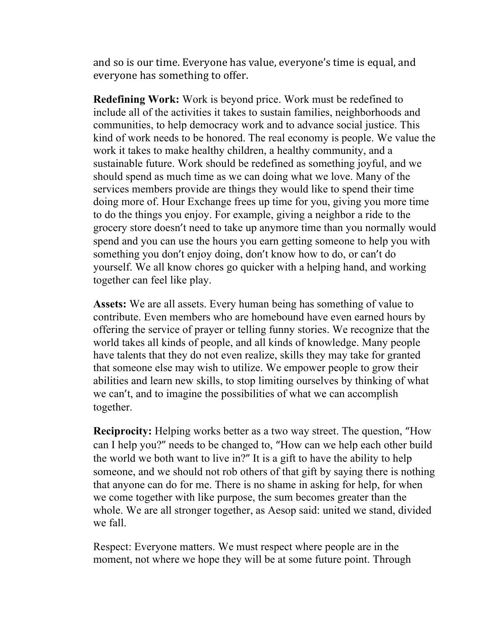and so is our time. Everyone has value, everyone's time is equal, and everyone has something to offer.

**Redefining Work:** Work is beyond price. Work must be redefined to include all of the activities it takes to sustain families, neighborhoods and communities, to help democracy work and to advance social justice. This kind of work needs to be honored. The real economy is people. We value the work it takes to make healthy children, a healthy community, and a sustainable future. Work should be redefined as something joyful, and we should spend as much time as we can doing what we love. Many of the services members provide are things they would like to spend their time doing more of. Hour Exchange frees up time for you, giving you more time to do the things you enjoy. For example, giving a neighbor a ride to the grocery store doesn't need to take up anymore time than you normally would spend and you can use the hours you earn getting someone to help you with something you don't enjoy doing, don't know how to do, or can't do yourself. We all know chores go quicker with a helping hand, and working together can feel like play.

**Assets:** We are all assets. Every human being has something of value to contribute. Even members who are homebound have even earned hours by offering the service of prayer or telling funny stories. We recognize that the world takes all kinds of people, and all kinds of knowledge. Many people have talents that they do not even realize, skills they may take for granted that someone else may wish to utilize. We empower people to grow their abilities and learn new skills, to stop limiting ourselves by thinking of what we can't, and to imagine the possibilities of what we can accomplish together.

**Reciprocity:** Helping works better as a two way street. The question, "How can I help you?" needs to be changed to, "How can we help each other build the world we both want to live in?" It is a gift to have the ability to help someone, and we should not rob others of that gift by saying there is nothing that anyone can do for me. There is no shame in asking for help, for when we come together with like purpose, the sum becomes greater than the whole. We are all stronger together, as Aesop said: united we stand, divided we fall.

Respect: Everyone matters. We must respect where people are in the moment, not where we hope they will be at some future point. Through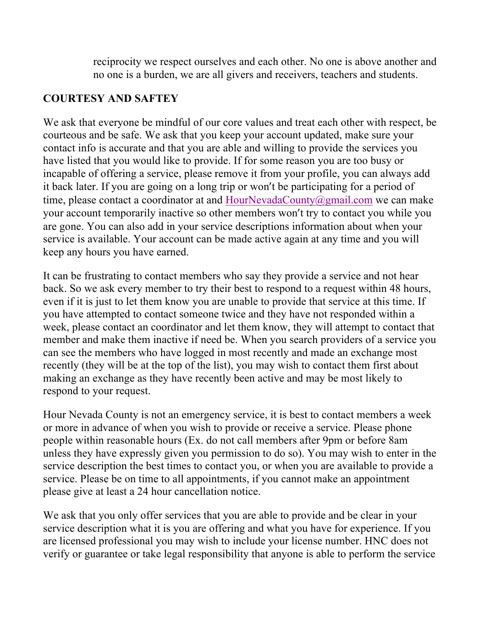reciprocity we respect ourselves and each other. No one is above another and no one is a burden, we are all givers and receivers, teachers and students.

### **COURTESY AND SAFTEY**

We ask that everyone be mindful of our core values and treat each other with respect, be courteous and be safe. We ask that you keep your account updated, make sure your contact info is accurate and that you are able and willing to provide the services you have listed that you would like to provide. If for some reason you are too busy or incapable of offering a service, please remove it from your profile, you can always add it back later. If you are going on a long trip or won't be participating for a period of time, please contact a coordinator at and HourNevadaCounty@gmail.com we can make your account temporarily inactive so other members won't try to contact you while you are gone. You can also add in your service descriptions information about when your service is available. Your account can be made active again at any time and you will keep any hours you have earned.

It can be frustrating to contact members who say they provide a service and not hear back. So we ask every member to try their best to respond to a request within 48 hours, even if it is just to let them know you are unable to provide that service at this time. If you have attempted to contact someone twice and they have not responded within a week, please contact an coordinator and let them know, they will attempt to contact that member and make them inactive if need be. When you search providers of a service you can see the members who have logged in most recently and made an exchange most recently (they will be at the top of the list), you may wish to contact them first about making an exchange as they have recently been active and may be most likely to respond to your request.

Hour Nevada County is not an emergency service, it is best to contact members a week or more in advance of when you wish to provide or receive a service. Please phone people within reasonable hours (Ex. do not call members after 9pm or before 8am unless they have expressly given you permission to do so). You may wish to enter in the service description the best times to contact you, or when you are available to provide a service. Please be on time to all appointments, if you cannot make an appointment please give at least a 24 hour cancellation notice.

We ask that you only offer services that you are able to provide and be clear in your service description what it is you are offering and what you have for experience. If you are licensed professional you may wish to include your license number. HNC does not verify or guarantee or take legal responsibility that anyone is able to perform the service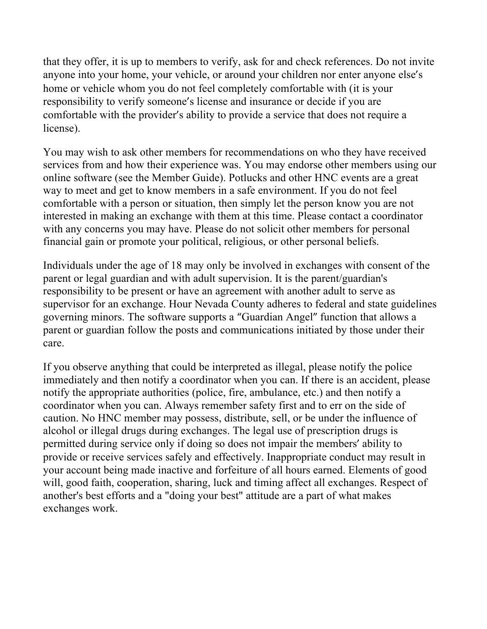that they offer, it is up to members to verify, ask for and check references. Do not invite anyone into your home, your vehicle, or around your children nor enter anyone else's home or vehicle whom you do not feel completely comfortable with (it is your responsibility to verify someone's license and insurance or decide if you are comfortable with the provider's ability to provide a service that does not require a license).

You may wish to ask other members for recommendations on who they have received services from and how their experience was. You may endorse other members using our online software (see the Member Guide). Potlucks and other HNC events are a great way to meet and get to know members in a safe environment. If you do not feel comfortable with a person or situation, then simply let the person know you are not interested in making an exchange with them at this time. Please contact a coordinator with any concerns you may have. Please do not solicit other members for personal financial gain or promote your political, religious, or other personal beliefs.

Individuals under the age of 18 may only be involved in exchanges with consent of the parent or legal guardian and with adult supervision. It is the parent/guardian's responsibility to be present or have an agreement with another adult to serve as supervisor for an exchange. Hour Nevada County adheres to federal and state guidelines governing minors. The software supports a "Guardian Angel" function that allows a parent or guardian follow the posts and communications initiated by those under their care.

If you observe anything that could be interpreted as illegal, please notify the police immediately and then notify a coordinator when you can. If there is an accident, please notify the appropriate authorities (police, fire, ambulance, etc.) and then notify a coordinator when you can. Always remember safety first and to err on the side of caution. No HNC member may possess, distribute, sell, or be under the influence of alcohol or illegal drugs during exchanges. The legal use of prescription drugs is permitted during service only if doing so does not impair the members' ability to provide or receive services safely and effectively. Inappropriate conduct may result in your account being made inactive and forfeiture of all hours earned. Elements of good will, good faith, cooperation, sharing, luck and timing affect all exchanges. Respect of another's best efforts and a "doing your best" attitude are a part of what makes exchanges work.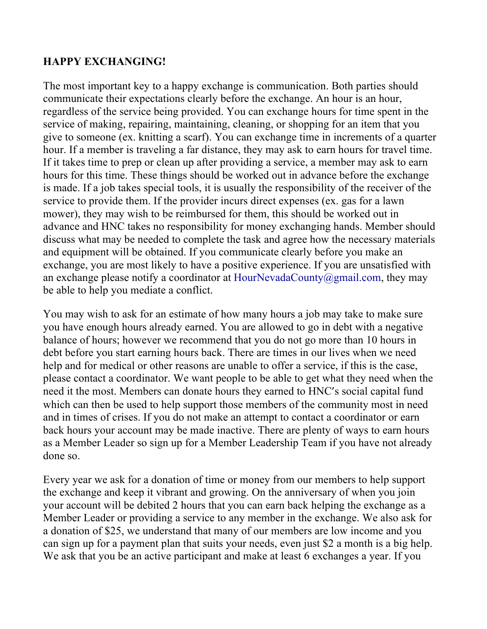### **HAPPY EXCHANGING!**

The most important key to a happy exchange is communication. Both parties should communicate their expectations clearly before the exchange. An hour is an hour, regardless of the service being provided. You can exchange hours for time spent in the service of making, repairing, maintaining, cleaning, or shopping for an item that you give to someone (ex. knitting a scarf). You can exchange time in increments of a quarter hour. If a member is traveling a far distance, they may ask to earn hours for travel time. If it takes time to prep or clean up after providing a service, a member may ask to earn hours for this time. These things should be worked out in advance before the exchange is made. If a job takes special tools, it is usually the responsibility of the receiver of the service to provide them. If the provider incurs direct expenses (ex. gas for a lawn mower), they may wish to be reimbursed for them, this should be worked out in advance and HNC takes no responsibility for money exchanging hands. Member should discuss what may be needed to complete the task and agree how the necessary materials and equipment will be obtained. If you communicate clearly before you make an exchange, you are most likely to have a positive experience. If you are unsatisfied with an exchange please notify a coordinator at HourNevadaCounty@gmail.com, they may be able to help you mediate a conflict.

You may wish to ask for an estimate of how many hours a job may take to make sure you have enough hours already earned. You are allowed to go in debt with a negative balance of hours; however we recommend that you do not go more than 10 hours in debt before you start earning hours back. There are times in our lives when we need help and for medical or other reasons are unable to offer a service, if this is the case, please contact a coordinator. We want people to be able to get what they need when the need it the most. Members can donate hours they earned to HNC's social capital fund which can then be used to help support those members of the community most in need and in times of crises. If you do not make an attempt to contact a coordinator or earn back hours your account may be made inactive. There are plenty of ways to earn hours as a Member Leader so sign up for a Member Leadership Team if you have not already done so.

Every year we ask for a donation of time or money from our members to help support the exchange and keep it vibrant and growing. On the anniversary of when you join your account will be debited 2 hours that you can earn back helping the exchange as a Member Leader or providing a service to any member in the exchange. We also ask for a donation of \$25, we understand that many of our members are low income and you can sign up for a payment plan that suits your needs, even just \$2 a month is a big help. We ask that you be an active participant and make at least 6 exchanges a year. If you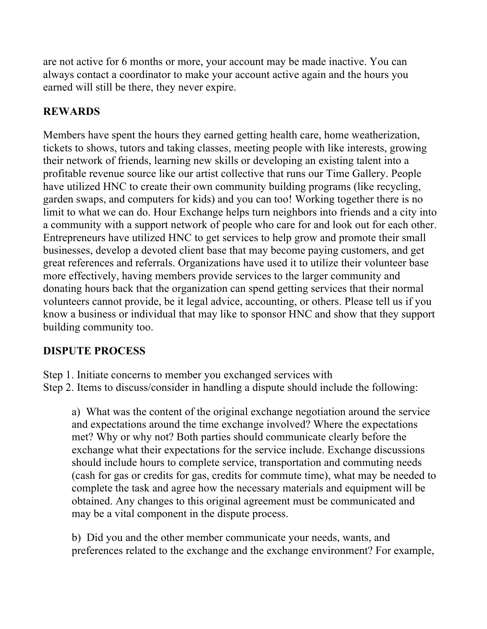are not active for 6 months or more, your account may be made inactive. You can always contact a coordinator to make your account active again and the hours you earned will still be there, they never expire.

### **REWARDS**

Members have spent the hours they earned getting health care, home weatherization, tickets to shows, tutors and taking classes, meeting people with like interests, growing their network of friends, learning new skills or developing an existing talent into a profitable revenue source like our artist collective that runs our Time Gallery. People have utilized HNC to create their own community building programs (like recycling, garden swaps, and computers for kids) and you can too! Working together there is no limit to what we can do. Hour Exchange helps turn neighbors into friends and a city into a community with a support network of people who care for and look out for each other. Entrepreneurs have utilized HNC to get services to help grow and promote their small businesses, develop a devoted client base that may become paying customers, and get great references and referrals. Organizations have used it to utilize their volunteer base more effectively, having members provide services to the larger community and donating hours back that the organization can spend getting services that their normal volunteers cannot provide, be it legal advice, accounting, or others. Please tell us if you know a business or individual that may like to sponsor HNC and show that they support building community too.

# **DISPUTE PROCESS**

Step 1. Initiate concerns to member you exchanged services with Step 2. Items to discuss/consider in handling a dispute should include the following:

a) What was the content of the original exchange negotiation around the service and expectations around the time exchange involved? Where the expectations met? Why or why not? Both parties should communicate clearly before the exchange what their expectations for the service include. Exchange discussions should include hours to complete service, transportation and commuting needs (cash for gas or credits for gas, credits for commute time), what may be needed to complete the task and agree how the necessary materials and equipment will be obtained. Any changes to this original agreement must be communicated and may be a vital component in the dispute process.

b) Did you and the other member communicate your needs, wants, and preferences related to the exchange and the exchange environment? For example,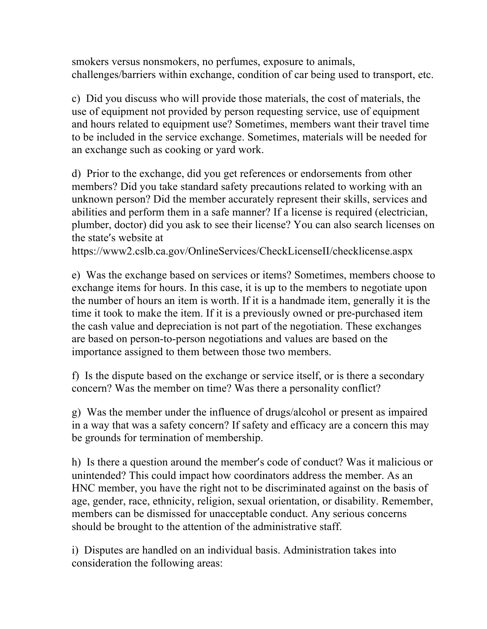smokers versus nonsmokers, no perfumes, exposure to animals, challenges/barriers within exchange, condition of car being used to transport, etc.

c) Did you discuss who will provide those materials, the cost of materials, the use of equipment not provided by person requesting service, use of equipment and hours related to equipment use? Sometimes, members want their travel time to be included in the service exchange. Sometimes, materials will be needed for an exchange such as cooking or yard work.

d) Prior to the exchange, did you get references or endorsements from other members? Did you take standard safety precautions related to working with an unknown person? Did the member accurately represent their skills, services and abilities and perform them in a safe manner? If a license is required (electrician, plumber, doctor) did you ask to see their license? You can also search licenses on the state's website at

https://www2.cslb.ca.gov/OnlineServices/CheckLicenseII/checklicense.aspx

e) Was the exchange based on services or items? Sometimes, members choose to exchange items for hours. In this case, it is up to the members to negotiate upon the number of hours an item is worth. If it is a handmade item, generally it is the time it took to make the item. If it is a previously owned or pre-purchased item the cash value and depreciation is not part of the negotiation. These exchanges are based on person-to-person negotiations and values are based on the importance assigned to them between those two members.

f) Is the dispute based on the exchange or service itself, or is there a secondary concern? Was the member on time? Was there a personality conflict?

g) Was the member under the influence of drugs/alcohol or present as impaired in a way that was a safety concern? If safety and efficacy are a concern this may be grounds for termination of membership.

h) Is there a question around the member's code of conduct? Was it malicious or unintended? This could impact how coordinators address the member. As an HNC member, you have the right not to be discriminated against on the basis of age, gender, race, ethnicity, religion, sexual orientation, or disability. Remember, members can be dismissed for unacceptable conduct. Any serious concerns should be brought to the attention of the administrative staff.

i) Disputes are handled on an individual basis. Administration takes into consideration the following areas: